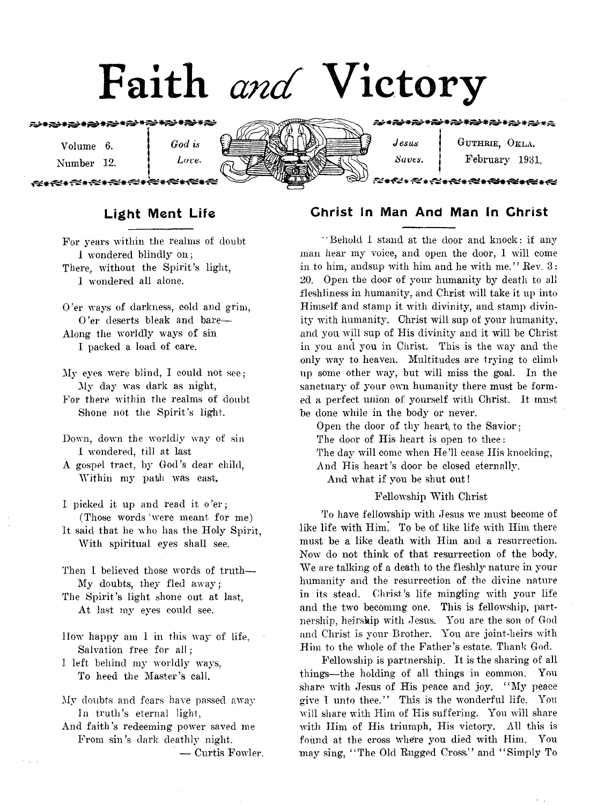# Faith *and* Victory

☆\*☆★☆\*☆\*☆\*☆\*☆\*☆\*☆\*☆\*☆

**Volume 6. i** *God is* **Number 12. |** *Love.*

<del>∞≠≪∗≪∗≈≠≈≠</del>

| $\boldsymbol{\mathit{J}}$ esus | GUTHRIE, OKLA. |  |
|--------------------------------|----------------|--|
| Saves.                         | February 1931. |  |
|                                |                |  |

#### Christ In Man And Man In Christ

**" Behold 1 stand at the door and knock: if any man hear my voice, and open the door, I will come** in to him, andsup with him and he with me." Rev. 3: **20, Open the door of your humanity by death to all fleshliness in humanity, and Christ will take it up into Himself and stamp it with divinity, and stamp divinity with humanity. Christ will sup of your humanity, and you will sup of His divinity and it will be Christ in you and you in Christ. This is the way and the only way to heaven. Multitudes are trying to climb up some other way, but will miss the goal. In the sanctuary of your own humanity there must be formed a perfect union of yourself with Christ. It must be done while in the body or never.**

Open the door of thy heart to the Savior: **The door of His heart is open to thee: The day will come when He'll cease His knocking, And His heart's door be closed eternally. And what if you be shut out!**

#### **Fellowship With Christ**

**To have fellowship with Jesus we must become of like life with Him. To be of like life with Him there must be a like death with Him and a resurrection. Now do not think of that resurrection of the body. We are talking of a death to the fleshly nature in your humanity and the resurrection of the divine nature in its stead. Christ's life mingling with your life and the two becoming one. This is fellowship, partnership, heirship with Jesus. You are the son of God and Christ is your Brother. You are joint-heirs with Him to the whole of the Father's estate. Thank God.**

**Fellowship is partnership. It is the sharing of all things—the holding of all things in common. You share with Jesus of His peace and joy. " My peace give I unto thee." This is the wonderful life. You will share with Him of His suffering. You will share with Him of His triumph, His victory. All this is found at the cross where you died with Him. You may sing, " The Old Rugged Cross." and " Simply To**

#### Light Ment Life

**For years within the realms of doubt 1 wondered blindly on; There, without the Spirit's light, 1 wondered all alone.**

- **O'er ways of darkness, cold and grim, O'er deserts bleak and bare— Along the worldly ways of sin I packed a load of care.**
- **My eyes were blind, I could not see; My day was dark as night,**
- **For there within the realms of doubt Shone not the Spirit's light.**
- **Down, down the worldly way of sin I wondered, till at last**
- **A gospel tract, by God's dear child, Within my path was cast,**
- **I picked it up and read it o 'er; (Those words 'were meant for me) It said that he who lias the Holy Spirit,**
- **With spiritual eyes shall see.**
- **Then I believed those words of truth—** My doubts, they fled away;
- **The Spirit's light shone out at last, At last my eyes could see.**
- **How happy am 1 in this way of life, Salvation free for all;**
- **1 left behind my worldly ways, To heed the Master's call.**
- **My doubts and fears have passed away In truth's eternal light,**
- **And faith's redeeming power saved me From sin's dark deathly night.**

**— Curtis Fowler,**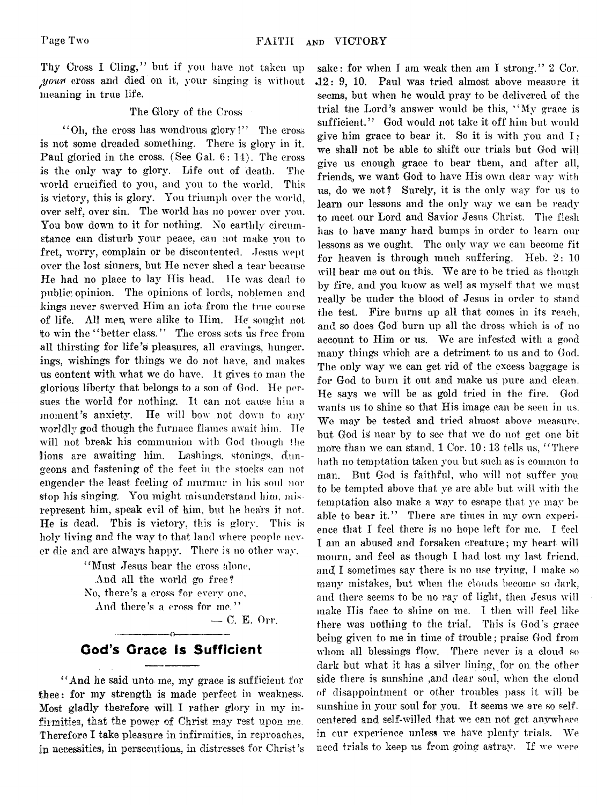Thy Cross I Cling," but if you have not taken up *jyowfl* **cross and died on it, your singing is without meaning in true life.**

#### **The Glory of the Cross**

**" Oh, the cross has wondrous glory!" The cross is not some dreaded something. There is glory in it. Paul gloried in the cross. (See Gal. 6: 14). The cross is the only way to glory. Life out of death. The world crucified to you, and you to the world. This is victory, this is glory. You triumph over the world, over self, over sin. The world has no power over you. You bow down to it for nothing. No earthly circumstance can disturb your peace, can not make you to fret, worry, complain or be discontented. Jesus wept over the lost sinners, but He never shed a tear because He had no place to lay His head. He was dead to public' opinion. The opinions of lords, noblemen and kings never swerved Him an iota from the true course of life. All men, were alike to Him. lie' sought not to win the " better class." The cross sets us free from** all thirsting for life's pleasures, all cravings, hunger. **ings, wishings for tilings we do not have, and makes us content with what we do have. It gives to man the glorious liberty that belongs to a son of God. He pur**sues the world for nothing. It can not cause him a **moment's anxiety. He will bow not down to any worldly god though the furnace flames await him. He will not break his communion with God though the lions are awaiting him. Lashings, stonings, dungeons and fastening of the feet in the stocks can not engender the least feeling of murmur in his soul nor stop his singing. You might misunderstand him, misrepresent him, speak evil of him, but he hears it not. He is dead. This is victory, this is glory. This is holy living and the way to that land where people never die and are always happy. There is no other way.**

> **" Must Jesus hear the cross alone, And all the world go free? No, there's a cross for every one,** And there's a cross for me."

**— 0. E. Orr.**

#### **---------------o---------------** God's Grace Is Sufficient

**" And he said unto me, my grace is sufficient for thee: for my strength is made perfect in weakness. Most gladly therefore will I rather glory in my infirmities, that the power of Christ may rest upon me. Therefore I take pleasure in infirmities, in reproaches, in necessities, in persecutions, in distresses for Christ's**

sake: for when I am weak then am I strong." 2 Cor. **•12 : 9, 10. Paul was tried almost above measure it seems, but when he would pray to be delivered of the trial the Lord's answer would be this, " My grace is sufficient." God would not take it off him but would** give him grace to bear it. So it is with you and I; **we shall not be able to shift our trials but God will give us enough grace to bear them, and after all, friends,, we want God to have His own dear way with us, do we not? Surely, it is the only way for us to learn our lessons and the only way we can be ready to meet our Lord and Savior Jesus Christ. The flesh has to have many hard bumps in order to learn our lessons as we ought. The only wav we can become fit for heaven is through much suffering. Heb. 2: 10 will bear me out on this. We are to be tried as though by fire, and you know as well as myself that we must really be under the blood of Jesus in order to stand the test. Fire burns up all that comes in its reach, and so does God burn up all the dross which is of no account to Him or us. We are infested with a good many things which are a detriment to us and to God. The only way we can get rid of the excess baggage is for God to burn it out and make us pure and clean. He says we will be as gold tried in the fire. God** wants us to shine so that His image can be seen in us. **We may be tested and tried almost above measure, but God is near by to see that we do not get one bit more than we can stand. 1 Cor. 10: 13 tells us, " There hath no temptation taken you hut such as is common to man. But God is faithful, who will not suffer you to be tempted above that ye are able but will with the temptation also make a way to escape that ye may be** able to bear it." There are times in my own experi**ence that I feel there is no hope left for me. I feel I am an abused and forsaken creature; my heart will** mourn, and feel as though I had lost my last friend, **and, I sometimes sav there is no use trying, T make so many mistakes, but when the clouds become so dark, and there seems to be no ray of light, then Jesus will make Ilis face to shine on me. 1 then will feel like there was nothing to the trial. This is God's grace being given to me in time of trouble; praise God from** whom all blessings flow. There never is a cloud so **dark but what it has a silver lining, for on the other side there is sunshine ,and dear soul, when the cloud of disappointment or other troubles pass it will be** sunshine in your soul for you. It seems we are so self. **centered and self-willed that we can not get anywhere in our experience unless we have plenty trials. We need trials to keep us from going astray. If we were**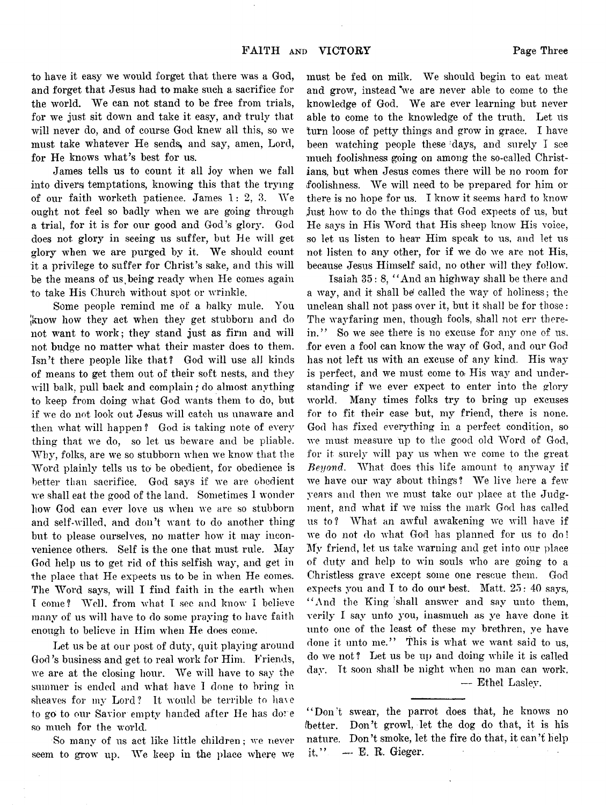**to have it easy we would forget that there was a God, and forget that Jesus had to make such a sacrifice for the world. We can not stand to be free from trials, for we just sit down and take it easy, and truly that will never do, and of course God knew all this, so we** must take whatever He sends, and say, amen, Lord, **for He knows what's best for us.**

**James tells us to count it all joy when we fall into divers) temptations, knowing this that the trying of our faith worketh patience. James 1: 2, 3. We ought not feel so badly when we are going through a trial, for it is for our good and God's glory. God does not glory in seeing us suffer, but He will get glory when we are purged by it. We should count it a privilege to suffer for Christ's sake, and this will be the means of us^being ready when He comes again to take His Church without spot or wrinkle.**

**Some people remind me of a balky mule. You [know how they act when they get stubborn and do not want to work; they stand just as firm and will not budge no matter what their master does to them. Isn't there people like that? God will use all kinds of means to get them out of their soft nests, and they will balk, pull back and complain** *\** **do almost anything to keep from doing what God wants them to do, but if we do not look out Jesus will catch us unaware and then what will happen ? God is taking note of every thing that we do, so let us beware and be pliable. Why, folks, are we so stubborn when we know that the Word plainly tells us** *to* **be obedient, for obedience is better than sacrifice. God says if we are obedient we shall eat the good of the land. Sometimes I wonder how God can ever love us when we are so stubborn and self-willed, and don't want to do another thing but to please ourselves, no matter how it may inconvenience others. Self is the one that must rule. May God help us to get rid of this selfish way, and get in the place that He expects us to be in when He comes. The Word says, will I find faith in the earth when I come? Well, from what I see and know I believe many of us will have to do some praying to have faith enough to believe in Him when He does come.**

**Let us be at our post of duty, quit playing around** God's business and get to real work for Him. Friends, **we are at the closing hour. We will have to say the summer is ended and what have I done to bring in sheaves for my Lord? It would be terrible to have** to go to our Savior empty handed after He has dove **so much for the world.**

**So many of us act like little children ; we never seem to grow up. We keep in the place where we** **must be fed on milk. We should begin to eat meat** and grow, instead 'we are never able to come to the **knowledge of God. We are ever learning but never able to come to the knowledge of the truth. Let us turn loose of petty things and grow in grace. I have been watching people these days, and surely I see much foolishness going on among the so-called Christians, but when Jesus comes there will be no room for foolishness. We will need to be prepared for him or there is no hope for us. I know it seems hard to know just how to do the things that God expects of us, but He says in His Word that His sheep know His voice, so let us listen to hear Him speak to us, and let us not listen to any other, for if we do we are not His, because Jesus Himself said, no other will they follow.**

**Isaiah 35 : 8, " And an highway shall be there and** a way, and it shall be called the way of holiness; the **unclean shall not pass over it, but it shall be for those:** The wayfaring men, though fools, shall not err there**in." So we see there is no excuse for any one of us, for even a fool can know the wav of God, and our God has not left us with an excuse of any kind. His way is perfect, and we must come to» His way and understanding if we ever expect to enter into the glory world. Many times folks try to bring up excuses for to fit their ease but, my friend, there is none. God lias fixed everything in a perfect condition, so we must measure up to the good old Word of God, for it surely will pay us when we come to the great** *Beyond.* **What does this life amount to anyway if we have our way about things? We live here a few years and then we must take our place at the Judgment, and what if we miss the mark God has called us to? What an awful awakening we will have if we do not do what God has planned for us to do! My friend, let us take warning and get into our place of duty and help to win souls who are going to a "Ghristless grave except some one rescue them. God** expects you and I to do our best. Matt.  $25: 40$  says, **" And the King :shall answer and say unto them, verily I say unto you, inasmuch as ye have done it unto one of the least of these my brethren, ye have done it unto me." This is what we want said to us, do we not ? Let us be up and doing while it is called day. Tt soon shall be night when no man can work. — Ethel Laslev.**

**" Don't swear, the parrot does that, he knows no (better. Don't growl, let the dog do that, it is his nature. Don't smoke, let the fire do that, it can't help it," ~ E, R. Gieger.**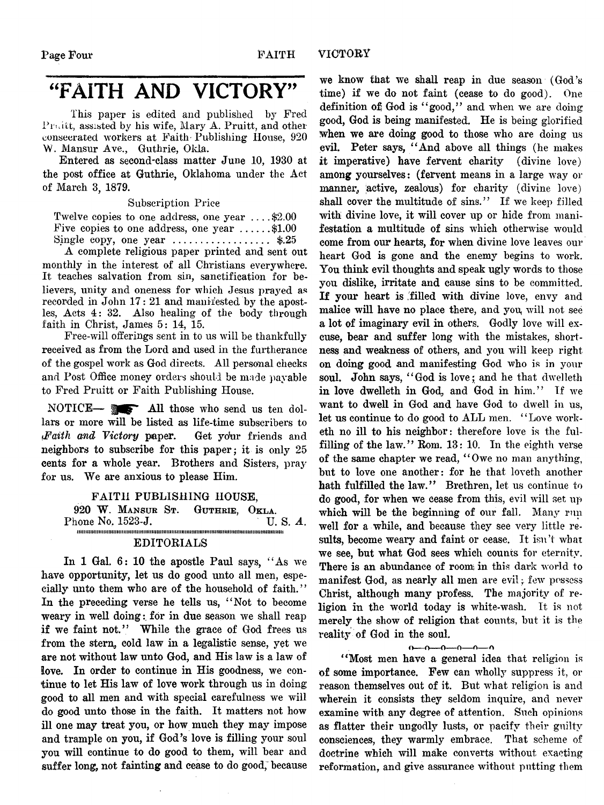## "FAITH AND VICTORY"

**This paper is edited and published by Fred Pruitt, assisted by his wife, Mary A. Pruitt, and other consecrated workers at Faith Publishing House, 920** W. Mansur Ave., Guthrie, Okla.

**Entered as second-class matter June 10, 1930 at the post office at Guthrie, Oklahoma under the Act of March 3, 1879.**

**Subscription Price**

**Twelve copies to one address, one year .... \$2.00** Five copies to one address, one year  $\dots \dots$ \$1.00 **Single copy, one year .................................. \$.25**

**A complete religious paper printed and sent out monthly in the interest of all Christians everywhere. It teaches salvation from sin, sanctification for believers, unity and oneness for which Jesus prayed as** recorded in John 17: 21 and manifested by the apost**les, Acts 4: 32. Also healing of the body through faith in Christ, James 5: 14, 15.**

**Free-will offerings sent in to us will be thankfully received as from the Lord and used in the furtherance of the gospel work as God directs. All personal checks and Post Office money orders should be made payable to Fred Pruitt or Faith Publishing House.**

NOTICE— **m** All those who send us ten dol**lars or more will be listed as life-time subscribers to** *!Faith and Victory* **paper. Get yokir friends and neighbors to subscribe for this paper; it is only 25 cents for a wdiole year. Brothers and Sisters, pray for us. We are anxious to please Him.**

**FAITH PUBLISHING HOUSE,**<br>W. MANSUR ST. GUTHRIE, OKLA. 920 W. MANSUR ST. GUTHRIE, OKLA.<br>hone No. 1523-J. **Manual Manual Communist** U.S. A. Phone No. 1523-J. i i i i i i i i i i i i i i i i m i i i i i i i i i i i i i i i i i i i i i i i i i i i i m i i i i i i i i i i i i i i i i i i i i i i i t i i i i i i i i i i i i i i i i i i i i i i i i t i i i i i i i i i i i i i i i m i i i i i n i

#### **EDITORIALS**

**In 1 Gal. 6: 10 the apostle Paul says, " As we have opportunity, let us do good unto all men, especially unto them who are of the household of faith. '** *'* **In the preceding verse he tells us, " Not to become** weary in well doing: for in due season we shall reap **if we faint not." While the grace of God frees us** from the stern, cold law in a legalistic sense, yet we **are not without law unto God, and His law is a law of love. In order to continue in His goodness, we continue to let His law of love work through us in doing good to all men and with special carefulness we will do good unto those in the faith. It matters not how ill one may treat you, or how much they may impose and trample on you, if God's love is filling your soul you will continue to do good to them, will bear and suffer long, not fainting and cease to do good, because**

**we know that we shall reap in due season (God's time) if we do not faint (cease to do good). One definition ofj God is " good," and when we are doing good, God is being manifested. He is being glorified When we are doing good to those who are doing us evil. Peter says, " And above all things (he makes it imperative) have fervent charity (divine love) among yourselves: (fervent means in a large way or** manner, active, zealous) for charity (divine love) **shall cover the multitude of sins." If we keep filled with divine love, it will cover up or hide from manifestation a multitude of sins which otherwise would come from our hearts, for when divine love leaves our heart God is gone and the enemy begins to work. You think evil thoughts and speak ugly words to those you dislike, irritate and cause sins to be committed. If your heart is filled with divine love, envy and malice will have no place there, and you^ will not see a lot of imaginary evil in others. Godly love will excuse, bear and suffer long with the mistakes, shortness and weakness of others, and you will keep right on doing good and manifesting God who is in your soul. John says, " God is love; and he that dwelleth in love dwelleth in God, and God in him." If we want to dwell in God and have God to dwell in us,** let us continue to do good to ALL men. "Love work**eth no ill to his neighbor: therefore love is the fulfilling of the law." Rom. 13: 10. In the eighth verse of the same chapter we read, " Owe no man anything, but to love one another: for he that loveth another hath fulfilled the law." Brethren, let us continue to do good, for when we cease from this, evil will set up which will be the beginning of our fall. Many run** well for a while, and because they see very little re**sults, become weary and faint or cease. It isn't what we see, but what God sees which counts for eternity. There is an abundance of room in this dark world to manifest God, as nearly all men are evil;; few possess Christ, although many profess. The majority of religion in the world today is white-wash. It is not merely the show of religion that counts, but it is the reality of God in the soul.**

#### O---O---O---O---o---A

**" Most men have a general idea that religion is of some importance. Few can wholly suppress it, or reason themselves out of it. But what religion is and wherein it consists they seldom inquire, and never examine with any degree of attention. Such opinions as flatter their ungodly lusts, or pacify their guilty consciences, they warmly embrace. That scheme of doctrine which will make converts without exacting reformation, and give assurance without putting them**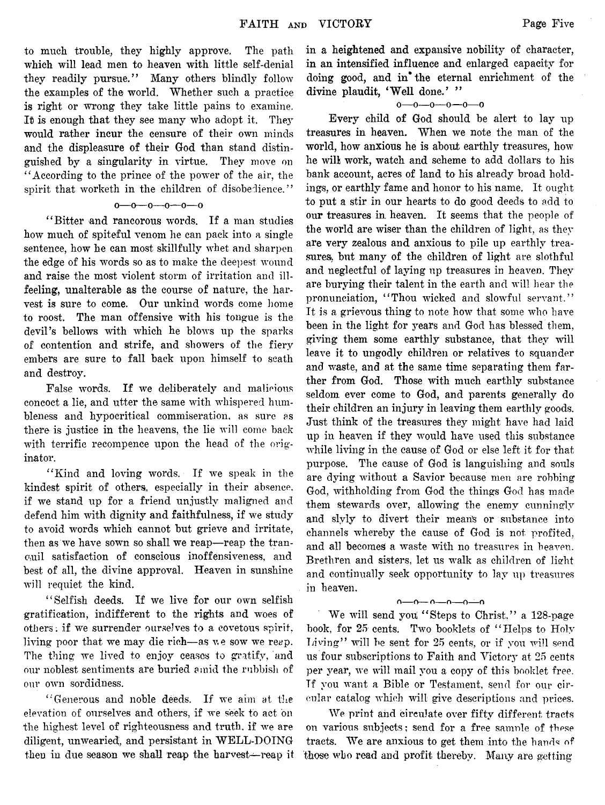**to much trouble, they highly approve. The path which will lead men to heaven with little self-denial they readily pursue." Many others blindly follow the examples of the world. Whether such a practice is right or wrong they take little pains to examine. It is enough that they see many who adopt it. They would rather incur the censure of their own minds and the displeasure of their God than stand distinguished by a singularity in virtue. They move on " According to the prince of the power of the air, the spirit that worketh in the children of disobedience."**

#### $0 - 0 - 0 - 0 - 0$

**" Bitter and rancorous words. If a man studies how much of spiteful venom he can pack into a single sentence, how he can most skillfully whet and sharpen the edge of his words so as to make the deepest wound and raise the most violent storm of irritation and illfeeling, unalterable as the course of nature, the harvest is sure to come. Our unkind words come home to roost. The man offensive with his tongue is the devil's bellows with which he blows up the sparks of contention and strife, and showers of the fiery embers are sure to fall back upon himself to seath and destroy.**

**False words. If we deliberately and malicious concoct a lie, and utter the same with whispered humbleness and hypocritical commiseration, as sure as there is justice in the heavens, the lie will come back with terrific recompence upon the head of the originator.**

**" Kind and loving words. If we speak in the kindest spirit of others, especially in their absence, if we stand up for a friend unjustly maligned and defend him with dignity and faithfulness, if we study to avoid words which cannot but grieve and irritate, then as we have sown so shall we reap—reap the tranquil satisfaction of conscious inoffensiveness, and best of all, the divine approval. Heaven in sunshine will requiet the kind.**

**" Selfish deeds. If we live for our own selfish gratification, indifferent to the rights and woes of others, if we surrender ourselves to a covetous spirit,** living poor that we may die rich—as we sow we reap. **The thing we lived to enjoy ceases to gratify, and our noblest sentiments are buried amid the rubbish of our own sordidness.**

**"'Generous and noble deeds. If we aim at the elevation of ourselves and others, if we seek to act on the highest level of righteousness and truth, if we are diligent, unwearied;, and persistant in WELL-DOING then in due season we shall reap the harvest—reap it** **in a heightened and expansive nobility of character, in an intensified influence and enlarged capacity for doing good, and in\* the eternal enrichment of the** divine plaudit, 'Well done.' "

#### o—o—o—o—o—o

**Every child of God should be alert to lay up treasures in heaven. When we note the man of the world, how anxious he is about earthly treasures, how he will work, watch and scheme to add dollars to his bank account, acres of land to his already broad holdings, or earthly fame and honor to his name. It ought to put a stir in our hearts to do good deeds to add to our treasures in, heaven. It seems that the people of the world are wiser than the children of light, as they are very zealous and anxious to pile up earthly treasures, but many of the children of light are slothful and neglectful of laying up treasures in heaven. They are burying their talent in the earth and will hear the pronunciation, " Thou wicked and slowful servant."** It is a grievous thing to note how that some who have **been in the light for years and God has blessed them, giving them some earthly substance, that they will leave it to ungodly children or relatives to squander and waste, and at the same time separating them farther from God. Those with much earthly substance seldom ever come to God, and parents generally do their children an injury in leaving them earthly goods. Just think of the treasures they might have had laid up in heaven if they would have used this substance while living in the cause of God or else left it for that purpose. The cause of God is languishing and souls are dying without a Savior because men are robbing God, withholding from God the things God has made them stewards over, allowing the enemy cunningly and slyly to divert their mean's or substance into channels whereby the cause of God is not profited,** and all becomes a waste with no treasures in heaven. **Brethren and sisters, let us walk as children of light and continually seek opportunity to lay up treasures in heaven.**

#### $0 - 0 - 0 - 0 - 0$

**We will send you " Steps to Christ," a 128-page book, for 25 cents. Two booklets of " Helps to Holy Tjiving" will be sent for 25 cents, or if you will send us four subscriptions to Faith and Victory at 25 cents per year, we will mail you a copy of this booklet free. Tf you want a Bible or Testament, send for our circular catalog which will give descriptions and prices.**

**We print and circulate over fifty different tracts on various subjects; send for a free samnle of these tracts. We are anxious to get them into the hands of** those who read and profit thereby. Many are getting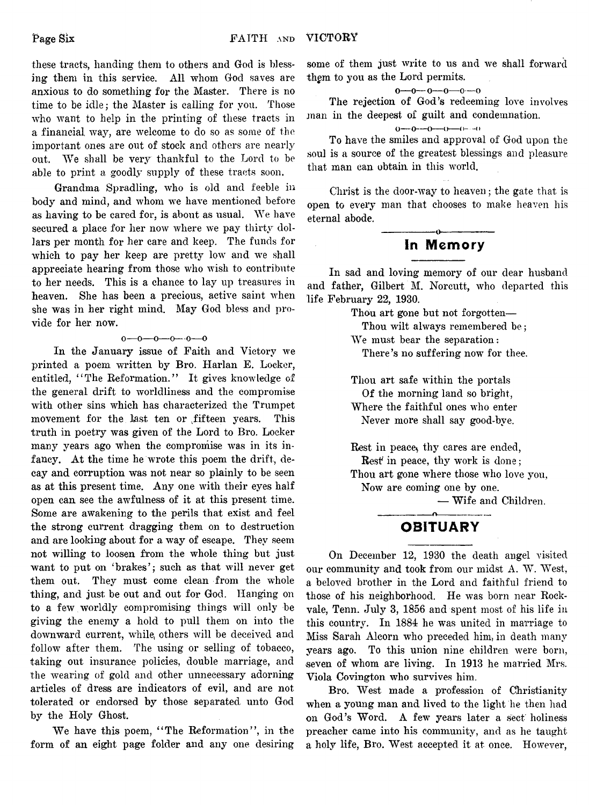$\bar{z}$ 

**these tracts, handing them to others and God is blessing them in this service. All whom God saves are anxious to do something for the Master. There is no time to be idle; the Master is calling for you. Those who want to help in the printing of these tracts in a financial way, are welcome to do so as some of the important ones are out of stock and others are nearly out. We shall be very thankful to the Lord to be able to print a goodly supply of these tracts soon.**

**Grandma Spradling, who is old and feeble in body and mind, and whom we have mentioned before as having to be cared for, is about as usual. We have secured a place for her now where we pay thirty dollars per month for her care and keep. The funds for which to pay her keep are pretty low and we shall appreciate hearing from those who wish to contribute to her needs. This is a chance to lay up treasures in heaven. She has been a precious, active saint when she was in her right mind. May God bless and provide for her now.**

#### **o—o—o—o—o—o**

**In the January issue of Faith and Victory we printed a poem written by Bro. Harlan E. Locker, entitled, 4'The Reformation.'' It gives knowledge of the general drift to worldliness and the compromise with other sins which has characterized the Trumpet movement for the last ten or .fifteen years. This truth in poetry was given of the Lord to Bro. Locker many years ago when the compromise was in its infancy. At the time he wrote this poem the drift, decay and corruption was not near so plainly to be seen as at this present time. Any one with their eyes half open can see the awfulness of it at this present time. Some are awakening to the perils that exist and feel the strong current dragging them on to destruction and are looking about for a way of escape. They seem not willing to loosen from the whole thing but just want to put on 'brakes'; such as that will never get them out. They must come clean from the whole thing, and just be out and out for God. Hanging on to a few worldly compromising things will only be giving the enemy a hold to pull them on into the downward current, while, others will be deceived and follow after them. The using or selling of tobacco, taking out insurance policies, double marriage, and the wearing of gold and other unnecessary adorning articles of dress are indicators of evil, and are not tolerated or endorsed by those separated unto God by the Holy Ghost.**

**We have this poem, " The Reformation", in the form of an eight page folder and any one desiring** **some of them just write to us and we shall forward thgm to you as the Lord permits.**

**o—o—o—o—o—o**

**The rejection of God's redeeming love involves man in the deepest of guilt and condemnation.**

 $0 \rightarrow 0 \rightarrow 0 \rightarrow 0 \rightarrow 0 \rightarrow 0$ 

**To have the smiles and approval of God upon the soul is a source of the greatest blessings and pleasure that man can obtain in this world.**

**Clirist is the door-way to heaven; the gate that is open to every man that chooses to make heaven his eternal abode.**

#### **---------------o---------------** In Memory

**In sad and loving memory of our dear husband and father, Gilbert M. Norcutt, who departed this life February 22, 1930.**

**Thou art gone but not forgotten—**

**Thou wilt always remembered be; We must bear the separation:** There's no suffering now for thee.

**Thou art safe within the portals Of the morning land so bright, Where the faithful ones who enter Never more shall say good-bye.**

Rest in peace, thy cares are ended, **Rest in peace, thy work is done;** Thou art gone where those who love you, **Now are coming one by one.**

**— Wife and Children.**

#### **---------------o--------------- OBITUARY**

**On December 12, 1930 the death angel visited our community and took from our midst A. W. West, a beloved brother in the Lord and faithful friend to those of his neighborhood. He was born near Rockvale, Tenn. July 3, 1856 and spent most of his life in** this country. In 1884 he was united in marriage to **Miss Sarah Alcorn who preceded him, in death many years ago.** To this union nine children were born, **seven of whom are living. In 1913 he married Mrs. Viola Covington who survives him.**

**Bro. West made a profession of Christianity when a young man and lived to the light he then had** on God's Word. A few years later a sect holiness **preacher came into his community, and as he taught a holy life, Bro. West accepted it at once. However,**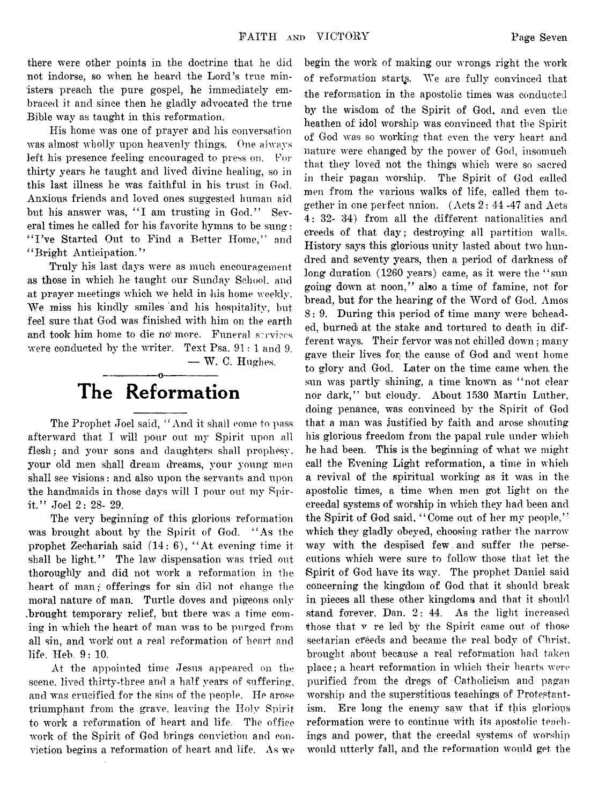**there were other points in the doctrine that he did not indorse, so when he heard the Lord's true ministers preach the pure gospel, he immediately embraced it and since then he gladly advocated the true Bible way as taught in this reformation.**

**His home was one of prayer and his conversation was almost wholly upon heavenly things. One always left his presence feeling encouraged to press on. For thirty years he taught and lived divine healing, so in this last illness he was faithful in his trust in God. Anxious friends and loved ones suggested human aid** but his answer was, "I am trusting in God." Sev**eral times he called for his favorite hymns to be sung: " I 've Started Out to Find a Better Home," and ' ' Bright Anticipation. '?**

**Truly his last days were as much encouragement as those in which he taught our Sunday School, and at prayer meetings which we held in his home weekly.** We miss his kindly smiles and his hospitality, but **feel sure that God was finished with him on the earth** and took him home to die no more. Funeral services **were conducted by the writer. Text Psa. 91: 1 and 9.**

**— W. C. Hughes.**

### **---------------o---------------** The Reformation

**The Prophet Joel said, " And it shall come to pass afterward that I will pour out my Spirit upon all flesh; and your sons and daughters shall prophesy, your old men shall dream dreams, your young men shall see visions: and also upon the servants and upon the handmaids in those days will I pour out my Spirit." Joel 2: 28- 29.**

**The very beginning of this glorious reformation was brought about by the Spirit of God. " As the prophet Zechariah said (14: 6), " At evening time it** shall be light." The law dispensation was tried out **thoroughly and did not work a reformation in the heart of man; offerings for sin did not change the moral nature of man. Turtle doves and pigeons only** brought temporary relief, but there was a time com**ing in which the heart of man was to be purged from all sin, and work out a real reformation of heart and life. Heb. 9: 10.**

**At the appointed time Jesus appeared on the scene, lived thirty-three and a half years of suffering,** and was crucified for the sins of the people. He arose **triumphant from the grave, leaving the Holy Spirit** to work a reformation of heart and life. The office **work of the Spirit of God brings conviction and conviction begins a reformation of heart and life. As wre**

**begin the work of making our wrongs right the work of reformation starts. We are fully convinced that the reformation in the apostolic times was conducted by the wisdom of the Spirit of God, and even the** heathen of idol worship was convinced that the Spirit **of God was so working that even the very heart and nature were changed by the power of God, insomuch that they loved not the things which were so sacred in their pagan worship. The Spirit of God called men from the various walks of life, called them together in one perfect union. (Acts 2: 44 -47 and Acts 4: 32- 34) from all the different nationalities and creeds of that day; destroying all partition walls. History says this glorious unity lasted about two hundred and seventy years, then a period of darkness of long duration (1260 years) came, as it were the " sun going down at noon," also a time of famine, not for bread, but for the hearing of the Word of God. Amos** 8: 9. During this period of time many were behead**ed, burned at the stake and tortured to death in dif**ferent ways. Their fervor was not chilled down; many gave their lives for the cause of God and went home **to glory and God. Later on the time came when, the** sun was partly shining, a time known as "not clear **nor dark," but cloudy. About 1530 Martin Luther, doing penance, was convinced by the Spirit of God that a man was justified by faith and arose shouting his glorious freedom from the papal rule under which** he had been. This is the beginning of what we might **call the Evening Light reformation, a time in which** a revival of the spiritual working as it was in the **apostolic times, a time when men got light on the** creedal systems of worship in which they had been and **the Spirit of God said, " Come out of her my people,"** which they gladly obeyed, choosing rather the narrow **way with the despised few and suffer the persecutions which were sure to follow those that, let the Spirit of God have its way. The prophet Daniel said concerning the kingdom of God that it should break in pieces all these other kingdoms and that it should stand forever. Dan. 2: 44. As the light increased those that v re led by the Spirit came out.of those sectarian cfeeds and became the real body of Christ, brought about because a real reformation had taken place; a heart reformation in which their hearts were purified from the dregs of Catholicism and pagan worship and the superstitious teachings of Protestantism. Ere long the** *enemy* **saw that if this glorious reformation were to continue with its apostolic teach**ings and power, that the creedal systems of worship **would utterly fall, and the reformation would get the**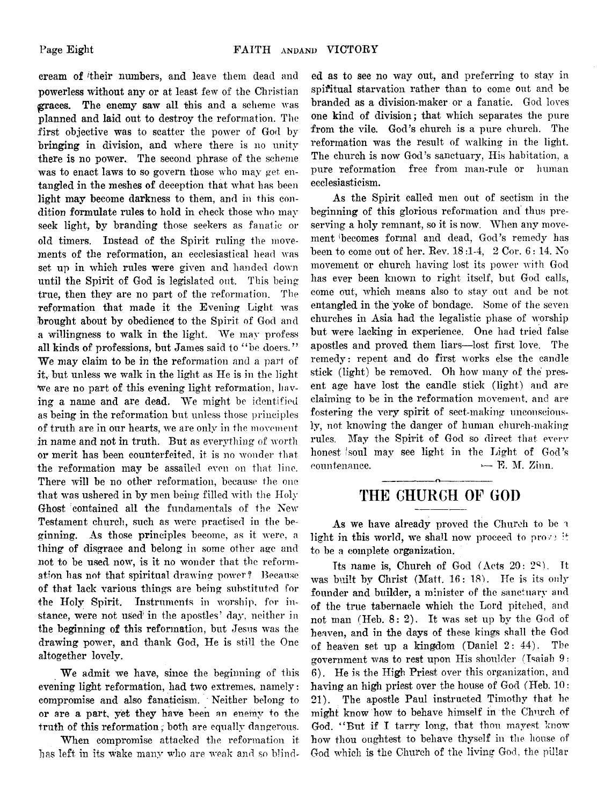**cream of 'their numbers, and leave them dead and powerless without any or at least few of the Christian graces. The enemy saw all this and a scheme was planned and laid out to destroy the reformation. The first objective was to scatter the power of God by bringing in division, and where there is no unity there is no power. The second phrase of the scheme was to enact laws to so govern those who may get entangled in the meshes of deception that what has been light may become darkness to them, and in this condition formulate rules to hold in check those who may seek light, by branding those seekers as fanatic or old timers. Instead of the Spirit ruling the movements of the reformation, an ecclesiastical head was set. up in which rules were given and handed down until the Spirit of God is legislated out. This being true, then they are no part of the reformation. The reformation that made it the Evening Light was brought about by obedience to the Spirit of God and a willingness to walk in the light. We may profess all kinds of professions, but James said to " be doers." We may claim to be in the reformation and a part of it, but unless we walk in the light as He is in the light We are no part of this evening light reformation, having a name and are dead. We might be identified as being in the reformation but unless those principles of truth are in our hearts, we are only in the movement** in name and not in truth. But as everything of worth **or merit has been counterfeited, it is no wonder that the reformation may be assailed even on that line. There will be no other reformation, because the one that was ushered in by men being filled with the Holy** Ghost contained all the fundamentals of the New **Testament church, such as were practised in the beginning. As those principles become, as it were, a thing of disgrace and belong in some other age and not to be used now, is it no wonder that the reformation has not that spiritual drawing power? Because of that lack various things are being substituted for the Holy Spirit. Instruments in worship, for instance, were not used in the apostles' day, neither in the beginning of this reformation, but Jesus was the drawing power, and thank God, He is still the One altogether lovely.**

**We admit we have, since the beginning of this evening light reformation, had two extremes, namely: compromise and also fanaticism. Neither belong to or are a part, yet they have been an enemy to the** truth of this reformation; both are equally dangerous.

**When compromise attacked the reformation it has left in its wake** many **who are weak and so blind-** **ed as to see no way out, and preferring to stay in spiritual starvation rather than to come out and be branded as a division-maker or a fanatic. God loves one kind of division; that which separates the pure from the vile. God's church is a pure church. The reformation was the result of walking in the light. The church is now God's sanctuary, His habitation, a pure reformation free from, man-rule or human ecclesiastieism.**

**As the Spirit called men out of sectism in the beginning of this glorious reformation and thus preserving a holy remnant, so it is now. When any movement becomes formal and dead, God's remedy has been to come out of her. Rev. 18 :l-4, 2 Cor. 6 : 14. No movement or church having lost its power with God has ever been known to right itself, but God calls, come out, which means also to stay out and be not entangled in the yoke of bondage. Some of the seven churches in Asia had the legalistic phase of worship but were lacking in experience. One had tried false apostles and proved them liars—lost first love. The remedy: repent and do first works else the candle stick (light) be removed. Oh how many of the present age have lost the candle stick (light) and are claiming to be in the reformation movement, and are fostering the very spirit of sect-making unconsciously, not knowing the danger of human church-making rules. May the Spirit of God so direct that every honest 'Soul may see light in the Light of God's**  $count$  **countenance.**  $\qquad \qquad \rightarrow \quad \mathbf{F}.$  M. Zinn.

#### **-------------- o-------------- THE CHURCH OF GOD**

**As we have already proved the Church to be a light in this world, we shall now proceed to prove if to be a complete organization.**

**Its name is, Church of God (Acts 20: 2Q). It was built by Christ (Matt. 16: 18). He is its only founder and builder, a minister of the sanctuary and of the true tabernacle which the Lord pitched, and** not man (Heb. 8: 2). It was set up by the God of **heaven, and in the days of these kings shall the God of heaven set up a kingdom (Daniel 2: 44). The government was to rest upon His shoulder (Isaiah 9: 6). He is the High Priest over this organization, and having an high priest over the house of God (Heb. 10: 21). The apostle Paul instructed Timothy that he might know how to behave himself in the Church of God. " But if I tarry long, that thou mayest know how thou oughtest to behave thyself in the house of God which is the Church of the living God, the pillar**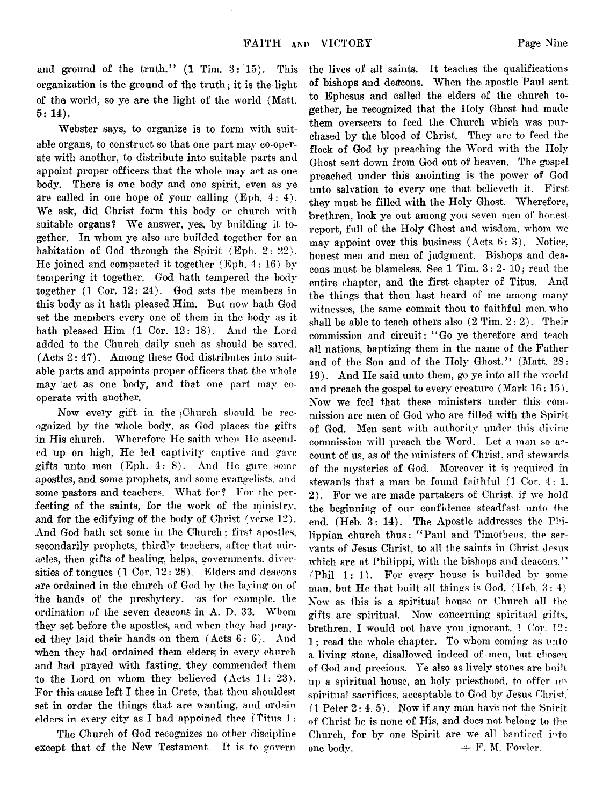**and ground of the truth." (1 Tim. 3: [15). This organization is the ground of the truth; it is the light of the world, so ye are the light of the world (Matt. 5: 14).**

**Webster says, to organize is to form with suitable organs, to construct so that one part may co-operate with another, to distribute into suitable parts and appoint proper officers that the whole may act as one body. There is one bod***y* **and one spirit, even as ye** are called in one hope of your calling (Eph. 4: 4). **We ask, did Christ form this body or church with suitable organs? We answer, yes, by building it together. In whom ye also are builded together for an habitation of God through the Spirit (Eph. 2: 22). He joined and compacted it together (Eph. 4 : 16) by tempering it together. God hath tempered the body together (1 Cor. 12: 24). God sets the members in this body as it hath pleased Him. But now hath God set the members every one of them in the body as it hath pleased Him (1 Cor. 12: 18). And the Lord added to the Church daily such as should be saved. (Acts 2: 47). Among these God distributes into suitable parts and appoints proper officers that the whole** may act as one body, and that one part may co**operate with another.**

Now every gift in the Church should be rec**ognized by the whole body, as God places the gifts in His church. Wherefore He saith when He ascended up on high, He led captivity captive and gave gifts unto men (Eph. 4: 8). And He gave some apostles, and some prophets, and some evangelists, and** some pastors and teachers. What for? For the per**fecting of the saints, for the work of the ministry, and for the edifying of the body' of Christ (verse 12). And God hath set some in the Church; first apostles, secondarily prophets, thirdly teachers, after that miracles, then gifts of healing, helps, governments, diversities of tongues (1 Cor. 12: 28). Elders and deacons are ordained in the church of God by the laying on of the hands of the presbytery, •as for example, the ordination of the seven deacons in A. D. 33. Whom they set before the apostles, and when they had prayed they laid their hands on them (Acts 6:6). And when they had ordained them elders; in every church and had prayed with fasting, they commended them to the Lord on whom they believed (Acts 14: 23). For this cause left I thee in Crete, that thou shouldest. set in order the things that are wanting, and ordain elders in every city as I had appoined thee (Titus 1 :**

**The Church of God recognizes no other discipline except that of the New Testament. It is to govern** **the lives of all saints. It teaches the qualifications of bishops and deacons. When the; apostle Paul sent to Ephesus and called the elders of the church together, he recognized that the Holy Ghost had made them overseers to feed the Church which was purchased by the blood of Christ. They are to feed the flock of God by preaching the Word with the Holy Ghost sent down from God out of heaven. The gospel preached under this anointing is the power of God unto salvation to every one that believeth it. First they must be filled with the Holy Ghost, Wherefore, brethren, look ye out among you seven men of honest report, full of the Holy Ghost and wisdom, whom we may appoint over this business (Acts 6: 3). Notice, honest men and men of judgment. Bishops and deacons must be blameless. See 1 Tim. 3:2- 10; read the entire chapter, and the first chapter of Titus. And the things that thou hast heard of me among many witnesses, the same commit thou to faithful men. who shall be able to teach others also (2 Tim. 2:2). Their commission and circuit: " Go ye therefore and teach all nations, baptizing them in the name of the Father and of the Son and of the Holy Ghost." (Matt. 28: 19). And He said unto them, go ye into all the world and preach the gospel to every creature (Mark 16: 15). Now we feel that these ministers under this commission are men of God who are filled with the Spirit of God. Men sent with authority under this divine commission will preach the Word. Let a man so account of us, as of the ministers of Christ, and stewards of the mysteries of God. Moreover it is required in stewards that a man be found faithful (1 Cor. 4: 1, 2). For we are made partakers of Christ, if we hold the beginning of our confidence steadfast unto the end. (Heb. 3: 14). The Apostle addresses the Philippian church thus: " Paul and Timotheus, the servants of Jesus Christ, to all the saints in Christ Jesus which are at Philippi, with the bishops and deacons." (Phil. 1: 1). For every house is builded by some man. but He that built all things is God. (Heb. 3:4) Now as this is a spiritual house or Church all the gifts are spiritual. Now concerning spiritual gifts, brethren, I would not have you ignorant. 1 Cor. 12: 1; read the whole chapter. To whom coming as unto a living stone, disallowed indeed of men, but. chosen of God and precious. Ye also as lively stones are built up a spiritual house, an holy priesthood, to offer up spiritual sacrifices, acceptable to God bv Jesus Christ. (1 Peter 2: 4, 5). Now if any man have not the Spirit of Christ he is none of His, and does hot belong to the Church, for by one Spirit are we all baptized into** one body.  $\rightarrow$  F. M. Fowler.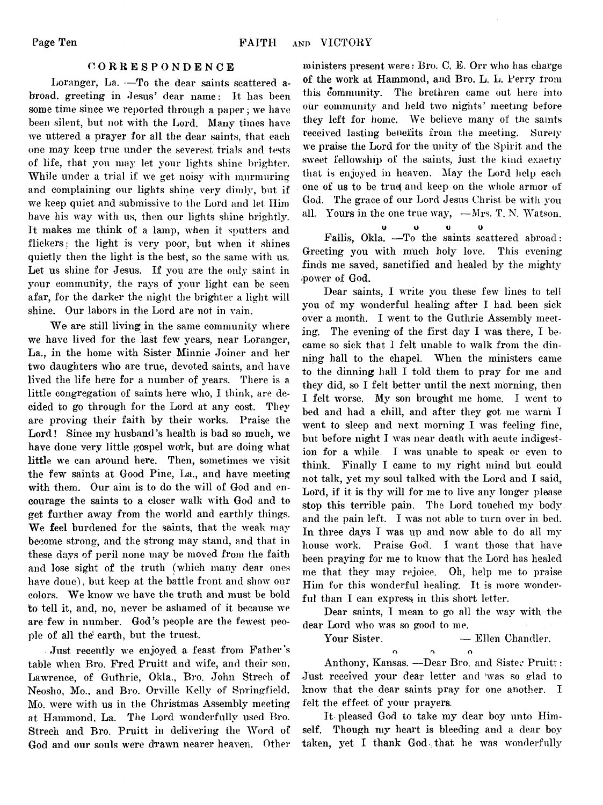#### **CORRESPONDENCE**

**Loranger, La. —To the dear saints scattered abroad, greeting in Jesus' dear name: It has been some time since we reported through a paper; we have been silent, but not with the Lord. Many times have we uttered a prayer for all the dear saints, that each one may keep true under the severest trials and tests of life, that you may let your lights shine brighter. While under a trial if we get noisy with murmuring and complaining our lights shine very dimly, but if we keep quiet, and submissive to the Lord and let Ilim have his way with us, then our lights shine brightly. It makes me think of a lamp, when it sputters and flickers : the light is very poor, but when it shines quietly then the light is the best, so the same with us. Let us shine for Jesus. If you are the only saint in your community, the rays of your light can be seen afar, for the darker the night the brighter a light will shine. Our labors in the Lord are not in vain.**

**We are still living; in the same community where we have lived for the last few years, near Loranger, La., in the home with Sister Minnie Joiner and her two daughters who are true, devoted saints, and have lived the life here for a number of years. There is a little congregation of saints here who, I think, are decided to go through for the Lord at any cost. They are proving their faith by their works. Praise the Lord! Since my husband's health is bad so much, we have done very little gospel work, but are doing what little we can around here. Then, sometimes we visit the few saints at Good Pine, La., and have meeting with them. Our aim is to do the will of God and encourage the saints to a closer walk with God and to get further away from the world and earthly things. We feel burdened for the saints, that the weak may become strong, and the strong may stand, and that in these days of peril none may be moved from the faith and lose sight of the truth (which many dear ones have done), but keep at the battle front and show our colors. We know we have the truth and must be bold to tell it, and, no, never be ashamed of it because we are few in number. God's people are the fewest peo**ple of all the earth, but the truest.

**Just recently we enjoyed a feast from Father's table when Bro. Fred Pruitt and wife, and their son, Lawrence, of Guthrie, Okla,, Bro. John Streeh of Neosho, Mo., and Bro. Orville Kelly of Springfield, Mo. were with us in the Christmas Assembly meeting at Hammond, La. The Lord wonderfully used Bro. Streeh and Bro. Pruitt in delivering the Word of God and our souls were drawn nearer heaven. Other**

**ministers present were: Bro. C, E. Orr who has charge of the work at Hammond, and Bro. L. L. Perry from this community. The brethren came out here into our community and Held two nights' meeting before they left for home. We believe many of the saints received lasting benefits from the meeting. Surely we praise the Lord for the unity of the Spirit and the sweet fellowship of the saints, just the kind exactly that is enjoyed in heaven. May the Lord help each one of us to be truej and keep on the whole armor of God. The grace of our Lord Jesus Christ be with you all, Yours in the one true way, —Mrs. T. N. Watson.**

O U U 0

**Fallis, Okla. —To the saints scattered abroad:** Greeting you with much holy love. This evening **finds me saved, sanctified and healed by the mighty power of God.**

**Dear saints, I write you these few lines to tell you of my wonderful healing after I had been sick over a month. I went to the Guthrie Assembly meeting. The evening of the first day I was there, I became so sick that I felt unable to walk from the dinning hall to the chapel. When the ministers came to the dinning hall I told them to pray for me and they did, so I felt better until the next morning, then I felt worse. My son brought me home. I went to bed and had a chill, and after they got me warm I went to sleep and next morning I was feeling fine, but before night I was near death with acute indigestion for a while. I was unable to speak or even to think. Finally I came to my right mind but could not talk, yet my soul talked with the Lord and I said, Lord, if it is thy will for me to live any longer please stop this terrible pain. The Lord touched my body and the pain left. I was not able to turn over in bed. In three days I was up and now able to do all my house work. Praise God. I want those that have been praying for me to know that the Lord has healed me that they may rejoice. Oh, help me to praise Him for this wonderful healing. It is more wonder**ful than I can express in this short letter.

**Dear saints, I mean to go all the wav with the dear Lord who was so good to me.**

**Your Sister, — Ellen Chandler.**

**n o n**  $\Omega$ 

**Anthony, Kansas. —Dear Bro. and Sister Pruitt: Just received your dear letter and was so glad to know that the dear saints pray for one another. I felt the effect of your prayers.**

**It pleased God to take my dear boy unto Himself. Though my heart is bleeding and a dear boy taken, yet I thank God-that he was wonderfully**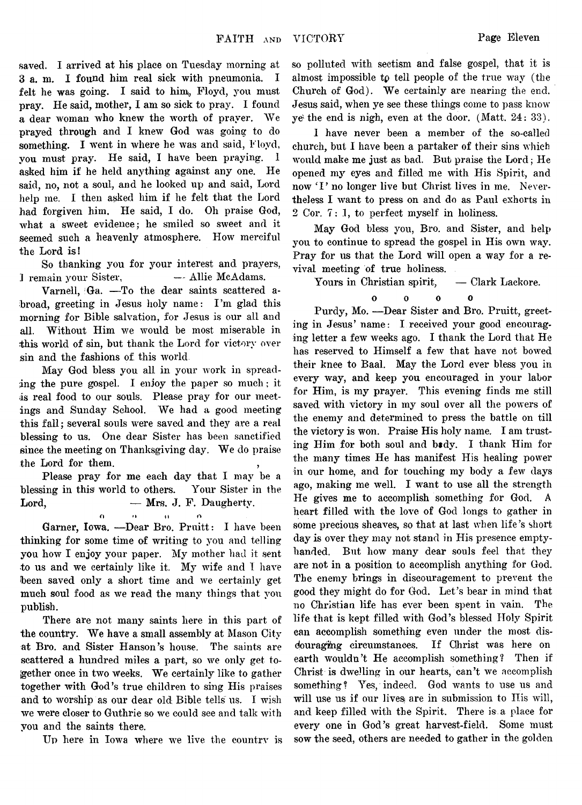**VICTORY Page Eleven**

**saved, I arrived at his place on Tuesday morning at 3 a. m. I found him real sick with pneumonia. I felt he was going. I said to him, Floyd, you must pray. He said, mother, I am so sick to pray. I found a dear woman who knew the worth of prayer. We prayed through and I knew God was going to do something. I went in where he was and said, Floyd, you must pray. He said, I have been praying. I asked him if he held anything against any one. He said, no, not a soul, and he looked up and said, Lord help me. I then asked him if he felt that the Lord had forgiven him. He said, I do. Oh praise God, what a sweet evidence; he smiled so sweet and it seemed such a heavenly atmosphere. How merciful the Lord is!**

**So thanking you for your interest and prayers, 1 remain your Sister, — Allie McAdams.**

**Varnell, :Ga. —To the dear saints scattered a**broad, greeting in Jesus holy name: I'm glad this **morning for Bible salvation, for Jesus is our all and all. Without Him we would be most miserable in this world of sin, but thank the Lord for victory over sin and the fashions of this world**

**May God bless you all in your work in spreading the pure gospel. I enjoy the paper so much; it is real food to our souls. Please pray for our meetings and Sunday School. We had a good meeting this fall; several souls were saved and they are a real blessing to us. One dear Sister has been sanctified since the meeting on Thanksgiving day. We do praise the Lord for them. ,**

**Please pray for me each day that I may be a blessing in this world to others. Your Sister in the Lord, — Mrs. J. F. Daugherty.**

n <> n o

**Garner, Iowa. —Dear Bro. Pruitt: I have been thinking for some time of writing to you and telling you how I enjoy your paper. My mother had it sent to us and we certainly like it. My wife and I have been saved only a short time and we certainly get much soul food as we read the many things that you publish.**

**There are not many saints here in this part of the country. We have a small assembly at Mason City at Bro. and Sister Hanson's house. The saints are scattered a hundred miles a part, so we only get together once in two Weeks. We certainly like to gather together with God's true children to sing His praises and to worship as our dear old Bible tells us. I wish we were closer to Guthrie so we could see and talk with you and the saints there.**

**Up here in Iowa where we live the country is**

**so polluted with sectism and false gospel, that it is almost impossible t***Q* **tell people of the true way (the Church of God). We certainly are nearing the end. Jesus said, when ye see these things come to pass know ye'the end is nigh, even at the door. (Matt, 24: 33).**

**I have never been a member of the so-called church, but I have been a partaker of their sins which would make me just as bad. But praise the Lord; He opened ni**3**r eyes and filled me with His Spirit, and** now 'I' no longer live but Christ lives in me. Never**theless I want to press on and do as Paul exhorts in 2 Cor. 7: 1, to perfect myself in holiness.**

**May God bless you, Bro. and Sister, and help you to continue to spread the gospel in His own way. Pray for us that the Lord will open a way for a revival meeting of true holiness.**

**Yours in Christian spirit, — Clark Laekore.**

#### **oooo**

 $\mathbf{o}$ 

**Purdy, Mo. —Dear Sister and Bro. Pruitt, greeting in Jesus' name: I received your good encouraging letter a few weeks ago. I thank the Lord that He has reserved to Himself a few that have not bowed their knee to Baal. May the Lord ever bless you in every way, and keep you encouraged in your labor for Him, is my prayer. This evening finds me still saved with victory in my soul over all the powers of the enemy and determined to press the battle on till the victory is won. Praise His holy name. I am trusting Him for both soul and btdy. I thank Him for the many times He has manifest His healing power in our home, and for touching my body a few days ago, making me well. I want to use all the strength He gives me to accomplish something for God. A heart filled with the love of God longs to gather in some precious sheaves, so that at last when life's short day is over they may not stand in His presence emptyhanded. But how many dear souls feel that they are not in a position to accomplish anything for God. The enemy brings in discouragement to prevent the good they might do for God. Let's bear in mind that no Christian, life has ever been spent in vain. The life that is kept filled with God's blessed Holy Spirit can accomplish something even under the most disdouragihg circumstances. If Qhrist was here on earth wouldn't He accomplish something? Then if Christ is dwelling in our hearts, can't we accomplish something? Yes, indeed. God wants to use us and** will use us if our lives are in submission to His will, **and keep filled with the Spirit. There is. a place for every one in God's great harvest-field. Some must sow the seed, others are needed to gather in the golden**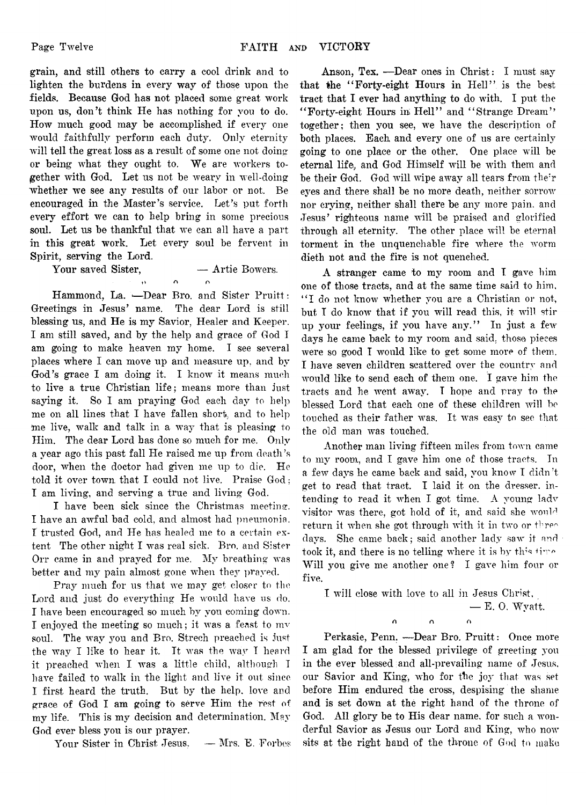**grain, and still others to carry a cool drink and to lighten the burdens in every way of those upon the fields. Because God has not placed some great work upon us, don't think He has nothing for you to do. How much good may be accomplished if every one would faithfully perform each duty. Only eternity** will tell the great loss as a result of some one not doing **or being what they ought to. We are workers together with God. Let us not be weary in well-doing** whether we see any results of our labor or not. Be **encouraged in the Master's service. Let's put forth every effort we can to help bring in some precious soul. Let us be thankful that we can all have a part in this great work. Let every soul be fervent in Spirit, serving the Lord.**

Your saved Sister, **— Artie Bowers.** 

## $\mathbf{o}$  or

Hammond, La. -Dear Bro. and Sister Pruitt: **Greetings in Jesus' name. The dear Lord is still blessing us, and He is my Savior, Healer and Keeper. I am still saved, and by the help and grace of God I am going to make heaven my home. I see several places where I can move up and measure up, and by God's grace I am doing it. I know it means much to live a true Christian life ; means more than just saying it. So 1 am praying God each day to he!]) me on all lines that I have fallen short., and to help me live, walk and talk in a way that is pleasing to Him. The dear Lord has done so much for me. Only a year ago this past fall ITe raised me up from death's door, when the doctor had given me up to die. He told it over town that I could not live. Praise God: I am living, and serving a true and living God.**

**I have been sick since the Christmas meeting:. I have an awful bad cold, and almost had pneumonia. I trusted God, and Pie has healed me to a certain extent The other night I was real sick. Bro. and Sister Orr came in and prayed for me. My breathing was better and my pain almost gone when they prayed.**

**Pray much for us that we may get closer to the Lord and just do everything He would have us do. I have been encouraged so much by you coming down. I enjoyed the meeting so much; it was a feast to mv soul. The way you and Bro. Strech preached is** just **the way I like to hear it. It was the way I heard it preached when I was a little child, although I have failed to walk in the light and live it out since I first heard the truth. But by the help, love and grace of God I am going to serve Him the rest of my life. This is my decision and determination. May God ever bless you is our prayer.**

**Your Sister in Christ Jesus, — Mrs. E. Forbes**

**Anson, Tex. —Dear ones in Christ: I must say that the " Forty-eight Hours in Hell" is the best tract that I ever had anything to do with. I put the " Forty-eight Hours in Hell" and " Strange Dream" together; then you see, we have the description of both places. Each and every one of us are certainly going to one place or the other. One place will be eternal life, and God Himself will be with them and be their God. God will wipe away all tears from the:r eyes and there shall be no more death, neither sorrow nor crying, neither shall there be any more pain, and Jesus' righteous name will be praised and glorified through all eternity. The other place will be eternal torment in the unquenchable fire where the worm dieth not and the fire is not quenched.**

**A stranger came to my room and I gave him one of those tracts, and at the same time said to him, " I do not know whether you are a Christian or not, but I do know that if you will read this, it will stir up your feelings, if you have any." In just a few days he came back to my room and said, those pieces were so good I would like to get some more of them. I have seven children scattered over the country and would like to send each of them one. I gave him the tracts and he went away. I hope and pray to the blessed Lord that each one of these children will he touched as their father was. It was easy to see that the old man was touched.**

**Another man living fifteen miles from town came to my room, and I gave him one of those tracts. In a few days he came back and said, you know I didn't get to read that tract. I laid it on the dresser, intending to read it when I got time. A young ladv visitor was there, got hold of it, and said she would return it when she got through with it in two or thre° days. She came back; said another lady saw it and took it, and there is no telling where it is by this time Will you give me another one? I gave him four or five.**

**I will close with love to all in Jesus Christ,**

**— E. 0. Wyatt.**

**n n o**

**Perkasie, Penn. —Dear Bro. Pruitt: Once more I am glad for the blessed privilege of greeting you in the ever blessed and all-prevailing name of Jesus, our Savior and King, who for the joy that was set before Him endured the cross, despising the shame and is set down at the right hand of the throne of** God. All glory be to His dear name, for such a won**derful Savior as Jesus our Lord and King, who now sits at the right hand of the throne of God to make**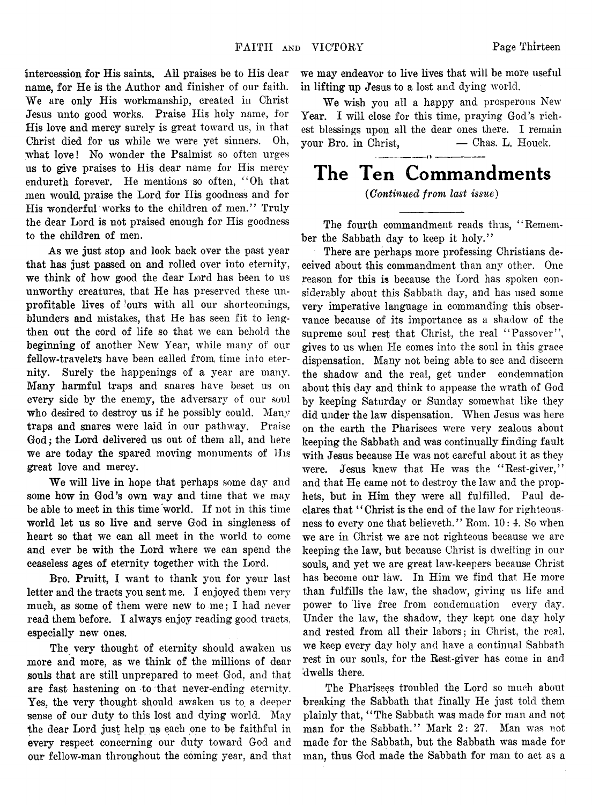intercession for His saints. All praises be to His dear **name, for He is the Author and finisher of our faith. We are only His workmanship, created in Christ Jesus unto good works. Praise His holy name, for His love and mercy surely is great toward us, in that Christ died for us while we were yet sinners. Oh, what love! No wonder the Psalmist so often urges us to give praises to His dear name for His mercy enduretli forever. He mentions so often, " Oh that men would praise the Lord for His goodness and for His wonderful, works to the children of men." Truly the dear Lord is not praised enough for His goodness to the children of men.**

**As we just stop and look back over the past year that has just passed on and rolled over into eternity, we think of how good the dear Lord has been to us unworthy creatures, that He has preserved these unprofitable lives of !ours with all our shortcomings, blunders and mistakes, that He has seen fit to lengthen out the cord of life so that we can behold the beginning of another New Year, while many of our fellow-travelers have been called from, time into eternity. Surely the happenings of a year are many. Many harmful traps and snares have beset us on every side by the enemy, the adversary of our soul who desired to destroy us if he possibly could. Many traps and snares were laid in our pathway. Praise God; the Lord delivered us out of them all, and here we are today the spared moving monuments of IIis great love and mercy.**

**We will live in hope that perhaps some** day **and some how in God's own way and time that we may be able to meet in this time world. If not in this time world let us so live and serve God in singleness of heart so that we can all meet in the world to come and ever be with the Lord where we can spend the ceaseless ages of eternity together with the Lord.**

**Bro. Pruitt, I want to thank you for your last letter and the tracts you sent me. I enjoyed them very much, as some of them were new to me; I had never read them before. I always enjoy reading good tracts, especially new ones.**

**The very thought of eternity should awaken us more and more, as we think of the millions of dear souls that are still unprepared to meet God, and that are fast hastening on to that never-ending eternity. Yes, the very thought should awaken us to a deeper sense of our duty to this lost and dying world. May the dear Lord just help us each one to be faithful in every respect concerning our duty toward God and our fellow-man throughout the coming year, and that**

**we may endeavor to live lives that will be more useful in lifting up Jesus to a lost and dying world.**

**We wish you all a happy and prosperous New** Year. I will close for this time, praying God's rich**est blessings upon all the dear ones there. I remain your Bro. in Christ, — Chas. L. Houck.**

## The Ten Commandments

#### *(Continued from last issue***)**

**The fourth commandment reads thus, " Remember the Sabbath day to keep it holy."**

**There are perhaps more professing Christians deceived about this commandment than any other. One reason for this is because the Lord has spoken considerably about this Sabbath day, and has used some very imperative language in commanding this observance because of its importance as a shadow of the supreme soul rest that Christ, the real " Passover", gives to us when He comes into the soul in this grace dispensation. Many not being able to see and discern the shadow and the real, get under condemnation about this day and think to appease the wrath of God by keeping Saturday or Sunday somewhat like they did under the law dispensation. When Jesus was here on the earth the Pharisees were very zealous about keeping the Sabbath and was continually finding fault with Jesus because He was not careful about it as they were. Jesus knew that He was the " Rest-giver," and that He came not to destroy the law and the prophets, but in Him they were all fulfilled. Paul declares that " Christ is the end of the law for righteousness to every one that believeth." Rom. 10: 4. So when we are in Christ we are not righteous because we arc keeping the law, but because Christ is dwelling in our souls, and yet we are great law-keepers because Christ has become our law. In Him we find that He more than fulfills the law, the shadow, giving us life and power to live free from condemnation every day. Under the law, the shadow, they kept one day holy and rested from all their labors; in Christ, the real, we keep every day holy and have a continual Sabbath rest in our souls, for the Rest-giver has come in and 'dwells there.**

**The Pharisees troubled the Lord so much about breaking the Sabbath that finally He just told them plainly that, " The Sabbath was made for man and not man for the Sabbath." Mark 2: 27. Man was not made for the Sabbath, but the Sabbath was made for man, thus God made the Sabbath for man to act as a**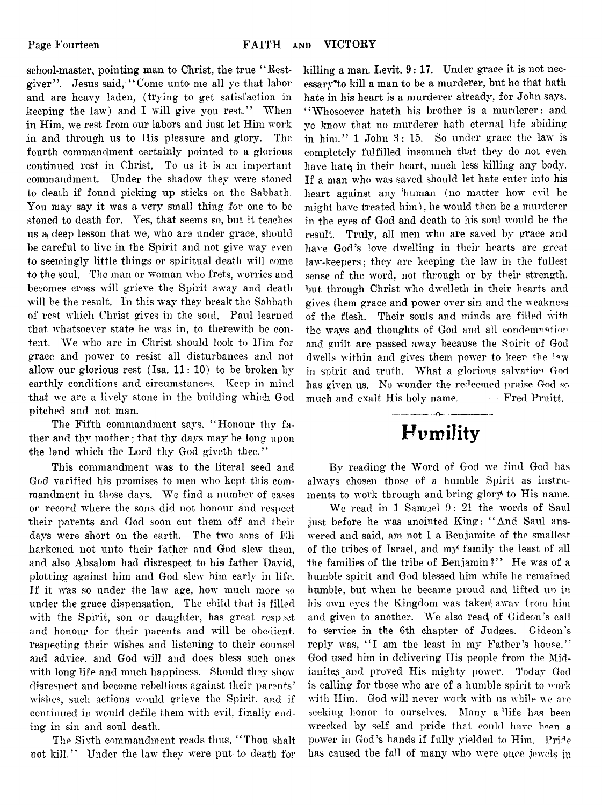**school-master, pointing man to Christ, the true " Restgiver" . Jesus said, " Come unto me all ye that labor** and are heavy laden, (trying to get satisfaction in **keeping the law) and I will give you rest." When in Him, we rest from our labors and just let Him work in and through us to His pleasure and glory. The fourth commandment certainly pointed to a glorious continued rest in Christ. To us it is an important commandment. Under the shadow they were stoned to death if found picking up sticks on the Sabbath. You may say it was a very small thing for one to be stoned to death for. Yes, that seems so, but it teaches us a deep lesson that we, who are under grace, should be careful to live in the Spirit and not give way even to seemingly little things or spiritual death will come to the soul. The man or woman who frets, worries and becomes cross will grieve the Spirit away and death will be the result. In this way they break the Sabbath of rest which Christ gives in the soul. Paul learned that whatsoever state he was in, to therewith be content. We who are in Christ should look to Him for grace and power to resist all disturbances and not allow our glorious rest (Isa. 11: 10) to be broken by earthly conditions and circumstances. Keep in mind that we are a lively stone in the building which God pitched and not man.**

**The Fifth commandment says, " Honour thy father and thy mother; that thy days may be long upon the land which the Lord thy God giveth thee."**

**This commandment was to the literal seed and God varified his promises to men who kept this commandment in those days. We find a number of cases on record where the sons did not honour and respect their parents and God soon cut them off and their days were short on the earth. The two sons of Lli harkened not unto their father and God slew them,** and also Absalom had disrespect to his father David, **plotting against him and God slew him early in life. If it Was so under the law age, how much more so under the grace dispensation. The child that is filled** with the Spirit, son or daughter, has great respect **and honour for their parents and will be obedient, respecting their wishes and listening to their counsel and advice, and God will and does bless such ones with long life and much happiness. Should they show disrespect and become rebellious against their parents' wishes, such actions would grieve the Spirit, and if continued in would defile them with evil, finally ending in sin and soul death.**

**The Sixth commandment reads thus, " Thou shalt not kill." Under the law they were put to death for**

**killing a man. Levit. 9: 17. Under grace it is not nec**essary<sup>\*</sup> to kill a man to be a murderer, but he that hath **hate in his heart is a murderer already, for John says, " Whosoever hateth his brother is a murderer: and ye know that no murderer hath eternal life abiding in him." 1 John 3: 15. So under grace the law is completely fulfilled insomuch that they do not even have hatej in their heart, much less killing any body. If a man who was saved should let hate enter into his heart against any human (no matter how evil he might have treated him), he would then be a murderer in the eyes of God and death to his soul would be the result. Truly, all men who are saved by grace and have God's love dwelling in their hearts are great law-keepers; they are keeping the law in the fullest sense of the word, not through or by their strength, but through Christ who dwelleth in their hearts and gives them grace and power over sin and the weakness of the flesh. Their souls and minds are filled with the wavs and thoughts of God and all condemnation and guilt are passed away because the Spirit of God** dwells within and gives them power to keen the law **in spirit and truth. What a glorious salvation God has given us. No wonder the redeemed praise God so much and exalt His holy name. — Fred Pruitt.**

## Humility

**By reading the Word of God we find God has always chosen those of a humble Spirit as instruments to work through and bring glory to His name.**

**We read in 1 Samiuel 9: 21 the words of Saul just before he was anointed King: " And Saul answered and said, am not I a Benjamite of the smallest of the tribes of Israel, and my family the least of all the families of the tribe of Benjamin** *V\** **He was of a humble spirit and God blessed him while he remained humble, but when he became proud and lifted un in** his own eyes the Kingdom was taken away from him **and given to another. We also read of Gideon's call to service in the 6th chapter of Judges. Gideon's** reply was, "I am the least in my Father's house." **God used him in delivering Ilis people from the Mid**ianites and proved His mighty power. Today God **is calling for those who are of a humble spirit to work with Him. God will never work with us while ve are seeking honor to ourselves. Many a 'life has been** wrecked by self and pride that could have been a power in God's hands if fully yielded to Him. Pride **has caused the fall of many who were once jewels ;u**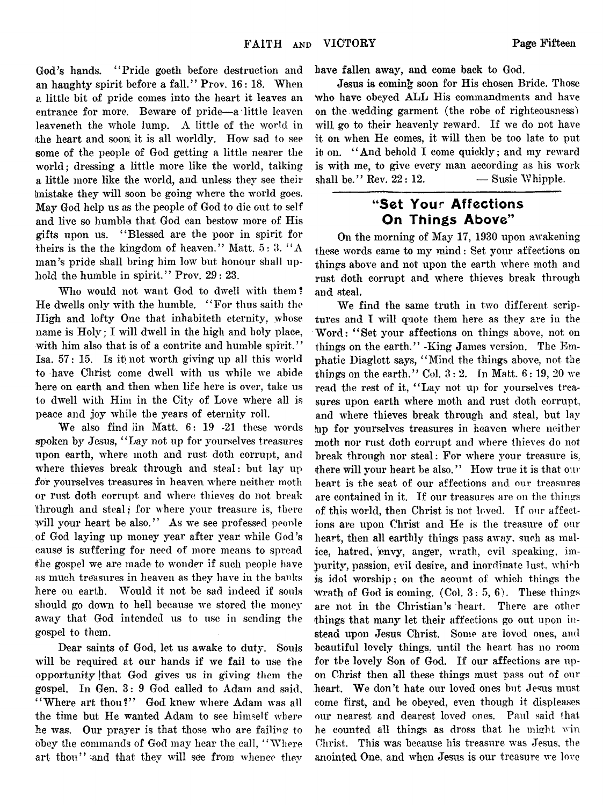**God's hands. " Pride goeth before destruction and** an haughty spirit before a fall." Prov. 16: 18. When **a little bit of pride comes into the heart it leaves an entrance for more. Beware of pride—a little leaven leaveneth the whole lump. A little of the world in the heart and soon it is all worldly. How sad to see some of the people of God getting a little nearer the world; dressing a little more like the world, talking a little more like the world, and unless they see their (mistake they will soon be going where the world goes. May God help us as the people of God to die out to self and live so humble that God can bestow more of His gifts upon us. 4 ' Blessed are the poor in spirit for theirs is the the kingdom of heaven." Matt. 5: 3. " A man's pride shall bring him low but honour shall up**hold the humble in spirit." Prov. 29: 23.

**Who would not want God to dwell with them? He dwells only with the humble. " For thus saith the High and lofty One that inhabiteth eternity, whose name is Holy; I will dwell in the high and holy place,** with him also that is of a contrite and humble spirit." **Isa. 57: 15. Is it) not worth giving up all this world to have Christ come dwell with us while we abide here on earth and then when life here is over, take us to dwell with Him in the City of Love where all is peace and joy while the years of eternity roll.**

We also find *l*in Matt. 6: 19 -21 these words **spoken by Jesus, " Lay not up for yourselves treasures upon earth, where moth and rust doth corrupt, and where thieves break through and steal: but lay up for yourselves treasures in heaven where neither moth or rust doth corrupt and where thieves do not break through and steal; for where your treasure is, there** will your heart be also." As we see professed people **of God laying up money year after year while God's cause is suffering for need of more means to spread** the gospel we are made to wonder if such people have **as much treasures in heaven as they have in the banks here on earth. Would it not be sad indeed if souls should go down to hell because we stored the money away that God intended us to use in sending the gospel to them.**

**Dear saints of God, let us awake to duty. Souls** will be required at our hands if we fail to use the **opportunity [that God gives us in giving them the gospel. In Gen. 3: 9 God called to Adam and said, " Where art thou?" God knew where Adam was all the time but He wanted Adam to see himself where** he was. Our prayer is that those who are failing to **obey the commands of God may hear the call, " Where art thou" and that they will see from whence they**

**have fallen away, and come back to God.**

**Jesus is coming soon for His chosen Bride. Those who have obeyed ALL His commandments and have on the wedding garment (the robe of righteousness)** will go to their heavenly reward. If we do not have **it on when He comes, it wdll then be too late to put it on. "'And behold I come quickly; and my reward** is with me, to give every man according as his work shall be." Rev.  $22: 12$ .  $\qquad \qquad$  Susie Whipple.

#### "Set Your Affections On Things Above"

**On the morning of May 17, 1930 upon awakening these words came to my mind: Set your affections on things above and not upon the earth where moth and rust doth corrupt and where thieves break through and steal.**

**We find the same truth in two different scrip**tures and I will quote them here as they are in the **Word: " Set your affections on things above, not on things on the earth." -King James version. The Emphatic Diaglott says, " Mind the things above, not the** things on the earth." Col.  $3:2$ . In Matt.  $6:19, 20$  we **read the rest of it, " Lay not up for yourselves trea**sures upon earth where moth and rust doth corrupt, and where thieves break through and steal, but lay **hip for yourselves treasures in heaven where neither moth nor rust doth corrupt and where thieves do not break through nor steal: For where vour treasure is. there will your heart be also."** How true it is that our **heart is the seat of our affections and our treasures are contained in it. If our treasures are on the things of this world, then Christ is not loved. If our affections are upon Christ and He is the treasure of our** heart, then all earthly things pass away, such as malice, hatred, envy, anger, wrath, evil speaking, impurity, passion, evil desire, and inordinate lust, which **is idol worship; on the acount of which things the wrath of God is coming. (Col. 3 : 5, 6). These things are not in the Christian's heart. There are other things that many let their affections go out upon instead upon Jesus Christ. Some are loved ones, and beautiful lovely things, until the heart has no room for the lovely Son of God. If our affections are upon Christ then all these things must pass out of our heart. We don't hate our loved ones hut Jesus must come first, and be obeyed, even though it displeases our nearest and dearest loved ones. Paul said that** he counted all things as dross that he might win **Christ.** This was because his treasure was Jesus, the anointed One, and when Jesus is our treasure we love